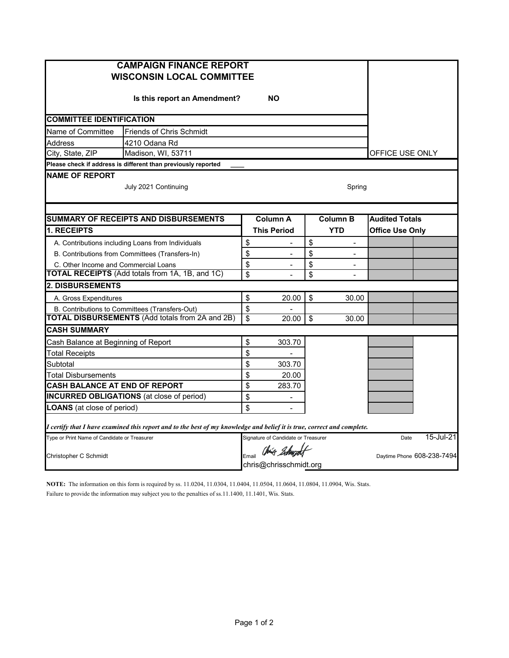| <b>CAMPAIGN FINANCE REPORT</b><br><b>WISCONSIN LOCAL COMMITTEE</b> |                                                                                                                         |                         |                                     |                 |                            |                        |                 |  |
|--------------------------------------------------------------------|-------------------------------------------------------------------------------------------------------------------------|-------------------------|-------------------------------------|-----------------|----------------------------|------------------------|-----------------|--|
|                                                                    |                                                                                                                         |                         |                                     |                 |                            |                        |                 |  |
| <b>COMMITTEE IDENTIFICATION</b>                                    |                                                                                                                         |                         |                                     |                 |                            |                        |                 |  |
| Name of Committee                                                  | <b>Friends of Chris Schmidt</b>                                                                                         |                         |                                     |                 |                            |                        |                 |  |
| Address                                                            | 4210 Odana Rd                                                                                                           |                         |                                     |                 |                            |                        |                 |  |
| City, State, ZIP<br>Madison, WI, 53711                             |                                                                                                                         |                         |                                     |                 |                            |                        | OFFICE USE ONLY |  |
|                                                                    | Please check if address is different than previously reported                                                           |                         |                                     |                 |                            |                        |                 |  |
| <b>NAME OF REPORT</b>                                              | Spring                                                                                                                  |                         |                                     |                 |                            |                        |                 |  |
|                                                                    |                                                                                                                         |                         |                                     |                 |                            |                        |                 |  |
|                                                                    | <b>SUMMARY OF RECEIPTS AND DISBURSEMENTS</b>                                                                            |                         | <b>Column A</b>                     | <b>Column B</b> |                            | <b>Audited Totals</b>  |                 |  |
| 1. RECEIPTS                                                        |                                                                                                                         |                         | <b>This Period</b>                  | <b>YTD</b>      |                            | <b>Office Use Only</b> |                 |  |
|                                                                    | A. Contributions including Loans from Individuals                                                                       | \$                      |                                     | \$              | $\overline{a}$             |                        |                 |  |
|                                                                    | B. Contributions from Committees (Transfers-In)                                                                         | \$                      | $\overline{a}$                      | \$              |                            |                        |                 |  |
| C. Other Income and Commercial Loans                               |                                                                                                                         | \$                      |                                     | \$              |                            |                        |                 |  |
|                                                                    | <b>TOTAL RECEIPTS</b> (Add totals from 1A, 1B, and 1C)                                                                  | $\overline{\mathbf{S}}$ | $\overline{a}$                      | \$              | $\overline{a}$             |                        |                 |  |
| <b>2. DISBURSEMENTS</b>                                            |                                                                                                                         |                         |                                     |                 |                            |                        |                 |  |
| A. Gross Expenditures                                              |                                                                                                                         | \$                      | 20.00                               | \$              | 30.00                      |                        |                 |  |
| B. Contributions to Committees (Transfers-Out)                     |                                                                                                                         | \$                      |                                     |                 |                            |                        |                 |  |
| <b>TOTAL DISBURSEMENTS (Add totals from 2A and 2B)</b>             |                                                                                                                         | \$                      | 20.00                               | \$              | 30.00                      |                        |                 |  |
| <b>CASH SUMMARY</b>                                                |                                                                                                                         |                         |                                     |                 |                            |                        |                 |  |
| Cash Balance at Beginning of Report                                |                                                                                                                         | \$                      | 303.70                              |                 |                            |                        |                 |  |
| <b>Total Receipts</b>                                              |                                                                                                                         |                         |                                     |                 |                            |                        |                 |  |
| Subtotal                                                           |                                                                                                                         |                         | 303.70                              |                 |                            |                        |                 |  |
| Total Disbursements                                                |                                                                                                                         | \$                      | 20.00                               |                 |                            |                        |                 |  |
| <b>CASH BALANCE AT END OF REPORT</b>                               |                                                                                                                         |                         | 283.70                              |                 |                            |                        |                 |  |
| <b>INCURRED OBLIGATIONS</b> (at close of period)                   |                                                                                                                         |                         |                                     |                 |                            |                        |                 |  |
| <b>LOANS</b> (at close of period)                                  |                                                                                                                         |                         | $\overline{\phantom{0}}$            |                 |                            |                        |                 |  |
|                                                                    | I certify that I have examined this report and to the best of my knowledge and belief it is true, correct and complete. |                         |                                     |                 |                            |                        |                 |  |
| Type or Print Name of Candidate or Treasurer                       |                                                                                                                         |                         | Signature of Candidate or Treasurer |                 | Date                       | 15-Jul-21              |                 |  |
| Christopher C Schmidt                                              |                                                                                                                         | Email                   | Chris Schwadt                       |                 | Daytime Phone 608-238-7494 |                        |                 |  |
|                                                                    |                                                                                                                         | chris@chrisschmidt.org  |                                     |                 |                            |                        |                 |  |

**NOTE:** The information on this form is required by ss. 11.0204, 11.0304, 11.0404, 11.0504, 11.0604, 11.0804, 11.0904, Wis. Stats. Failure to provide the information may subject you to the penalties of ss.11.1400, 11.1401, Wis. Stats.